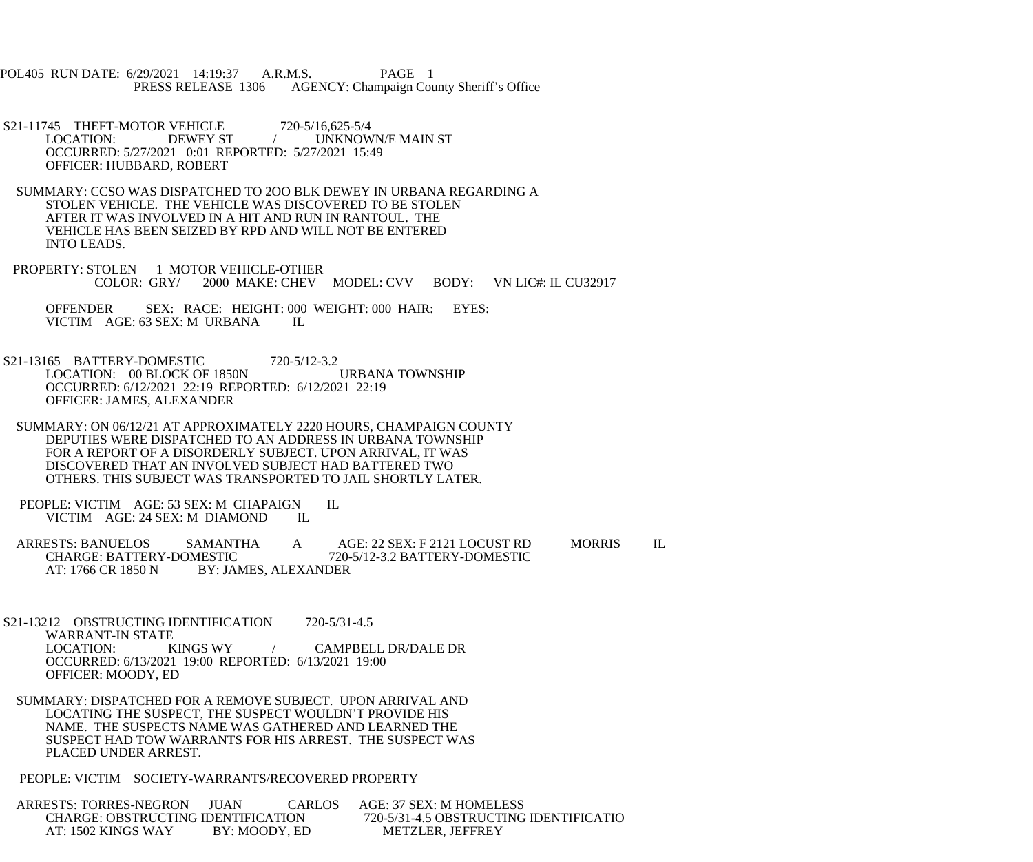POL405 RUN DATE: 6/29/2021 14:19:37 A.R.M.S. PAGE 1 PRESS RELEASE 1306 AGENCY: Champaign County Sheriff's Office

- S21-11745 THEFT-MOTOR VEHICLE 720-5/16,625-5/4<br>LOCATION: DEWEY ST / UNKNOW LOCATION: DEWEY ST / UNKNOWN/E MAIN ST OCCURRED: 5/27/2021 0:01 REPORTED: 5/27/2021 15:49 OFFICER: HUBBARD, ROBERT
- SUMMARY: CCSO WAS DISPATCHED TO 2OO BLK DEWEY IN URBANA REGARDING A STOLEN VEHICLE. THE VEHICLE WAS DISCOVERED TO BE STOLEN AFTER IT WAS INVOLVED IN A HIT AND RUN IN RANTOUL. THE VEHICLE HAS BEEN SEIZED BY RPD AND WILL NOT BE ENTERED INTO LEADS.
- PROPERTY: STOLEN 1 MOTOR VEHICLE-OTHER<br>COLOR: GRY/ 2000 MAKE: CHEV 2000 MAKE: CHEV MODEL: CVV BODY: VN LIC#: IL CU32917
	- OFFENDER SEX: RACE: HEIGHT: 000 WEIGHT: 000 HAIR: EYES: VICTIM AGE: 63 SEX: M URBANA IL
- S21-13165 BATTERY-DOMESTIC 720-5/12-3.2 LOCATION: 00 BLOCK OF 1850N URBANA TOWNSHIP OCCURRED: 6/12/2021 22:19 REPORTED: 6/12/2021 22:19 OFFICER: JAMES, ALEXANDER
- SUMMARY: ON 06/12/21 AT APPROXIMATELY 2220 HOURS, CHAMPAIGN COUNTY DEPUTIES WERE DISPATCHED TO AN ADDRESS IN URBANA TOWNSHIP FOR A REPORT OF A DISORDERLY SUBJECT. UPON ARRIVAL, IT WAS DISCOVERED THAT AN INVOLVED SUBJECT HAD BATTERED TWO OTHERS. THIS SUBJECT WAS TRANSPORTED TO JAIL SHORTLY LATER.
- PEOPLE: VICTIM AGE: 53 SEX: M CHAPAIGN IL VICTIM AGE: 24 SEX: M DIAMOND IL
- ARRESTS: BANUELOS SAMANTHA A AGE: 22 SEX: F 2121 LOCUST RD MORRIS IL CHARGE: BATTERY-DOMESTIC 720-5/12-3.2 BATTERY-DOMESTIC CHARGE: BATTERY-DOMESTIC 720-5/12-3.2 BATTERY-DOMESTIC<br>AT: 1766 CR 1850 N BY: JAMES. ALEXANDER **BY: JAMES, ALEXANDER**
- S21-13212 OBSTRUCTING IDENTIFICATION 720-5/31-4.5 WARRANT-IN STATE<br>LOCATION: KINGS WY / CAMPBELL DR/DALE DR OCCURRED: 6/13/2021 19:00 REPORTED: 6/13/2021 19:00 OFFICER: MOODY, ED
- SUMMARY: DISPATCHED FOR A REMOVE SUBJECT. UPON ARRIVAL AND LOCATING THE SUSPECT, THE SUSPECT WOULDN'T PROVIDE HIS NAME. THE SUSPECTS NAME WAS GATHERED AND LEARNED THE SUSPECT HAD TOW WARRANTS FOR HIS ARREST. THE SUSPECT WAS PLACED UNDER ARREST.
- PEOPLE: VICTIM SOCIETY-WARRANTS/RECOVERED PROPERTY

 ARRESTS: TORRES-NEGRON JUAN CARLOS AGE: 37 SEX: M HOMELESS CHARGE: OBSTRUCTING IDENTIFICATION 720-5/31-4.5 OBSTRUCTING IDENTIFICATIO<br>AT: 1502 KINGS WAY BY: MOODY, ED METZLER, JEFFREY AT: 1502 KINGS WAY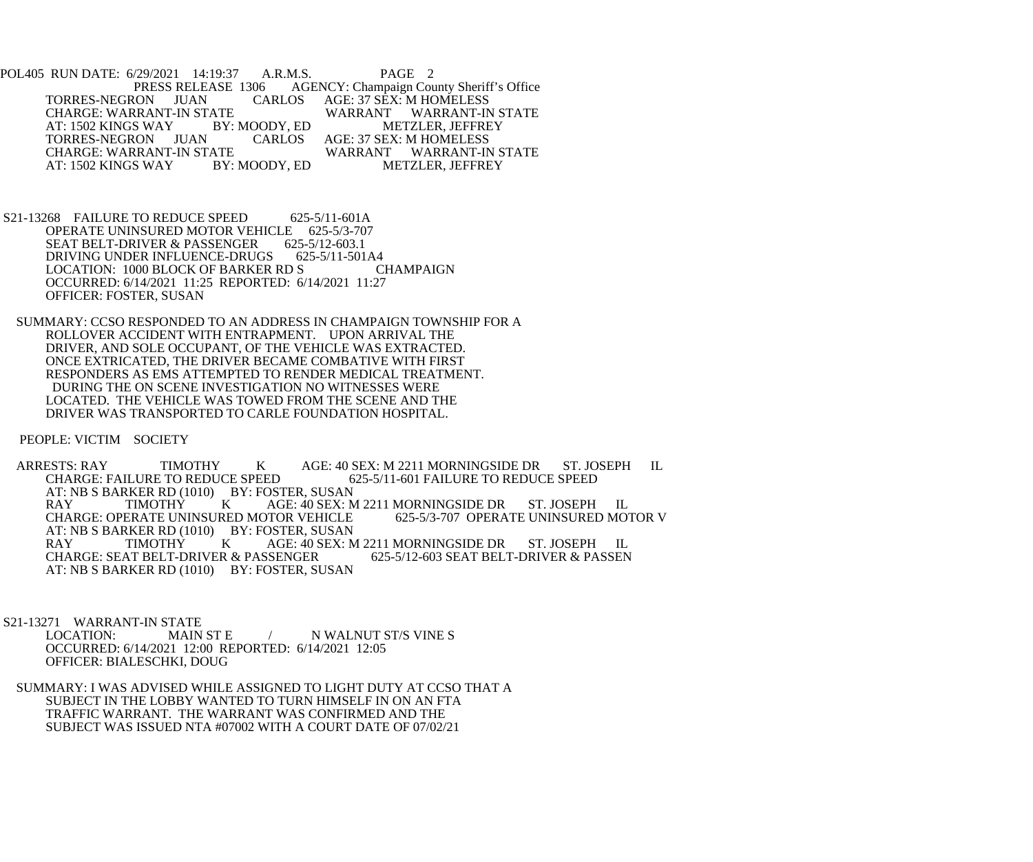POL405 RUN DATE: 6/29/2021 14:19:37 A.R.M.S. PAGE 2<br>PRESS RELEASE 1306 AGENCY: Champaign Cou PRESS AGENCY: Champaign County Sheriff's Office<br>
CARLOS AGE: 37 SEX: M HOMELESS TORRES-NEGRON JUAN CARLOS AGE: 37 SÈX: M HOMELESS<br>CHARGE: WARRANT-IN STATE WARRANT WARRANT-IN STATE CHARGE: WARRANT-IN STATE WARRANT WARRANT-IN S<br>AT: 1502 KINGS WAY BY: MOODY, ED METZLER, JEFFREY AT: 1502 KINGS WAY BY: MOODY, ED TORRES-NEGRON JUAN CARLOS TORRES-NEGRON JUAN CARLOS AGE: 37 SEX: M HOMELESS ATE WARRANT WARRANT-IN STATE<br>BY: MOODY, ED METZLER, JEFFREY AT: 1502 KINGS WAY

- S21-13268 FAILURE TO REDUCE SPEED 625-5/11-601A OPERATE UNINSURED MOTOR VEHICLE 625-5/3-707 SEAT BELT-DRIVER & PASSENGER 625-5/12-603.1<br>DRIVING UNDER INFLUENCE-DRUGS 625-5/11-501A4 DRIVING UNDER INFLUENCE-DRUGS LOCATION: 1000 BLOCK OF BARKER RD S CHAMPAIGN OCCURRED: 6/14/2021 11:25 REPORTED: 6/14/2021 11:27 OFFICER: FOSTER, SUSAN
- SUMMARY: CCSO RESPONDED TO AN ADDRESS IN CHAMPAIGN TOWNSHIP FOR A ROLLOVER ACCIDENT WITH ENTRAPMENT. UPON ARRIVAL THE DRIVER, AND SOLE OCCUPANT, OF THE VEHICLE WAS EXTRACTED. ONCE EXTRICATED, THE DRIVER BECAME COMBATIVE WITH FIRST RESPONDERS AS EMS ATTEMPTED TO RENDER MEDICAL TREATMENT. DURING THE ON SCENE INVESTIGATION NO WITNESSES WERE LOCATED. THE VEHICLE WAS TOWED FROM THE SCENE AND THE DRIVER WAS TRANSPORTED TO CARLE FOUNDATION HOSPITAL.

PEOPLE: VICTIM SOCIETY

ARRESTS: RAY TIMOTHY K AGE: 40 SEX: M 2211 MORNINGSIDE DR ST. JOSEPH IL<br>CHARGE: FAILURE TO REDUCE SPEED 625-5/11-601 FAILURE TO REDUCE SPEED 625-5/11-601 FAILURE TO REDUCE SPEED AT: NB S BARKER RD (1010) BY: FOSTER, SUSAN<br>RAY TIMOTHY K AGE: 40 SEX: N AGE: 40 SEX: M 2211 MORNINGSIDE DR ST. JOSEPH IL<br>DTOR VEHICLE 625-5/3-707 OPERATE UNINSURED MOTOR V CHARGE: OPERATE UNINSURED MOTOR VEHICLE AT: NB S BARKER RD (1010) BY: FOSTER, SUSAN<br>RAY TIMOTHY K AGE: 40 SEX: N RAY TIMOTHY K AGE: 40 SEX: M 2211 MORNINGSIDE DR ST. JOSEPH IL CHARGE: SEAT BELT-DRIVER & PASSEN CHARGE: SEAT BELT-DRIVER & PASSENGER AT: NB S BARKER RD (1010) BY: FOSTER, SUSAN

S21-13271 WARRANT-IN STATE

 LOCATION: MAIN ST E / N WALNUT ST/S VINE S OCCURRED: 6/14/2021 12:00 REPORTED: 6/14/2021 12:05 OFFICER: BIALESCHKI, DOUG

 SUMMARY: I WAS ADVISED WHILE ASSIGNED TO LIGHT DUTY AT CCSO THAT A SUBJECT IN THE LOBBY WANTED TO TURN HIMSELF IN ON AN FTA TRAFFIC WARRANT. THE WARRANT WAS CONFIRMED AND THE SUBJECT WAS ISSUED NTA #07002 WITH A COURT DATE OF 07/02/21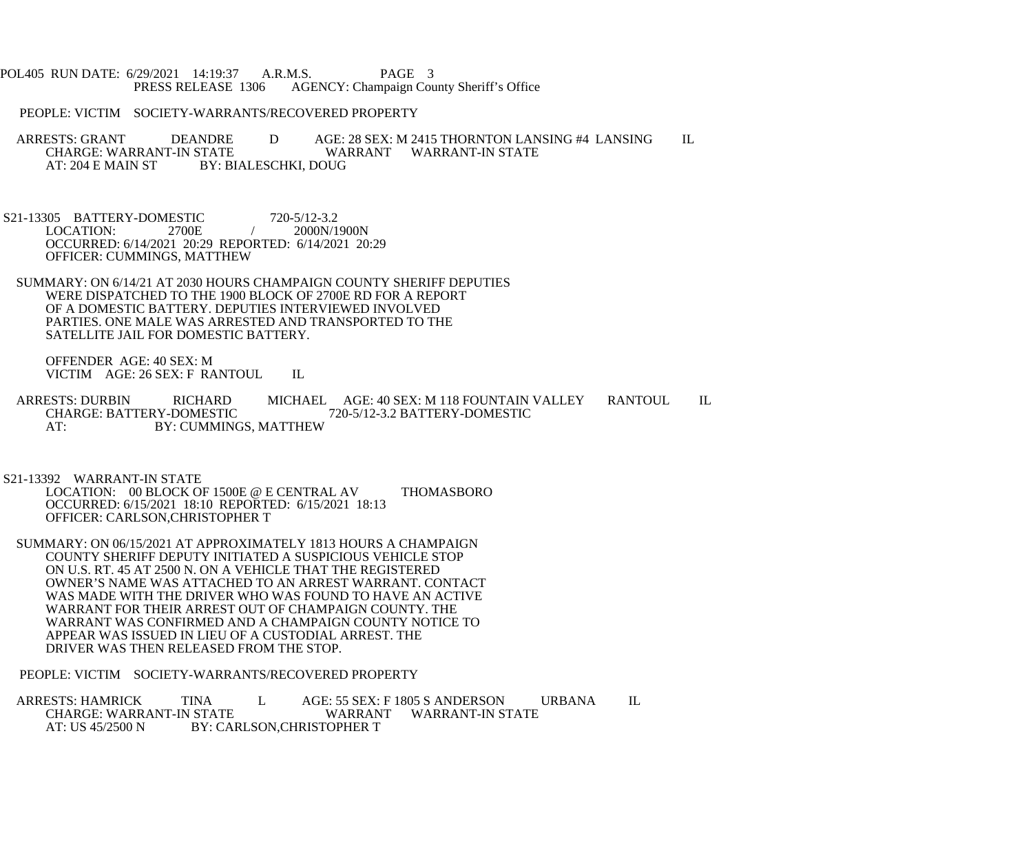POL405 RUN DATE: 6/29/2021 14:19:37 A.R.M.S. PAGE 3<br>PRESS RELEASE 1306 AGENCY: Champaign Cou AGENCY: Champaign County Sheriff's Office

PEOPLE: VICTIM SOCIETY-WARRANTS/RECOVERED PROPERTY

ARRESTS: GRANT DEANDRE D AGE: 28 SEX: M 2415 THORNTON LANSING #4 LANSING IL CHARGE: WARRANT-IN STATE WARRANT WARRANT-IN STATE CHARGE: WARRANT-IN STATE WARRANT WARRANT-IN STATE<br>AT: 204 E MAIN ST BY: BIALESCHKI. DOUG BY: BIALESCHKI, DOUG

S21-13305 BATTERY-DOMESTIC 720-5/12-3.2<br>LOCATION: 2700E / 2000N/1 2000N/1900N OCCURRED: 6/14/2021 20:29 REPORTED: 6/14/2021 20:29 OFFICER: CUMMINGS, MATTHEW

 SUMMARY: ON 6/14/21 AT 2030 HOURS CHAMPAIGN COUNTY SHERIFF DEPUTIES WERE DISPATCHED TO THE 1900 BLOCK OF 2700E RD FOR A REPORT OF A DOMESTIC BATTERY. DEPUTIES INTERVIEWED INVOLVED PARTIES. ONE MALE WAS ARRESTED AND TRANSPORTED TO THE SATELLITE JAIL FOR DOMESTIC BATTERY.

 OFFENDER AGE: 40 SEX: M VICTIM AGE: 26 SEX: F RANTOUL IL

ARRESTS: DURBIN RICHARD MICHAEL AGE: 40 SEX: M 118 FOUNTAIN VALLEY RANTOUL IL CHARGE: BATTERY-DOMESTIC 720-5/12-3.2 BATTERY-DOMESTIC CHARGE: BATTERY-DOMESTIC 720-5/12-3.2 BATTERY-DOMESTIC AT: BY: CUMMINGS, MATTHEW

S21-13392 WARRANT-IN STATE

 LOCATION: 00 BLOCK OF 1500E @ E CENTRAL AV THOMASBORO OCCURRED: 6/15/2021 18:10 REPORTED: 6/15/2021 18:13 OFFICER: CARLSON,CHRISTOPHER T

 SUMMARY: ON 06/15/2021 AT APPROXIMATELY 1813 HOURS A CHAMPAIGN COUNTY SHERIFF DEPUTY INITIATED A SUSPICIOUS VEHICLE STOP ON U.S. RT. 45 AT 2500 N. ON A VEHICLE THAT THE REGISTERED OWNER'S NAME WAS ATTACHED TO AN ARREST WARRANT. CONTACT WAS MADE WITH THE DRIVER WHO WAS FOUND TO HAVE AN ACTIVE WARRANT FOR THEIR ARREST OUT OF CHAMPAIGN COUNTY. THE WARRANT WAS CONFIRMED AND A CHAMPAIGN COUNTY NOTICE TO APPEAR WAS ISSUED IN LIEU OF A CUSTODIAL ARREST. THE DRIVER WAS THEN RELEASED FROM THE STOP.

PEOPLE: VICTIM SOCIETY-WARRANTS/RECOVERED PROPERTY

ARRESTS: HAMRICK TINA L AGE: 55 SEX: F 1805 S ANDERSON URBANA IL<br>CHARGE: WARRANT-IN STATE WARRANT WARRANT-IN STATE WARRANT WARRANT-IN STATE AT: US 45/2500 N BY: CARLSON, CHRISTOPHER T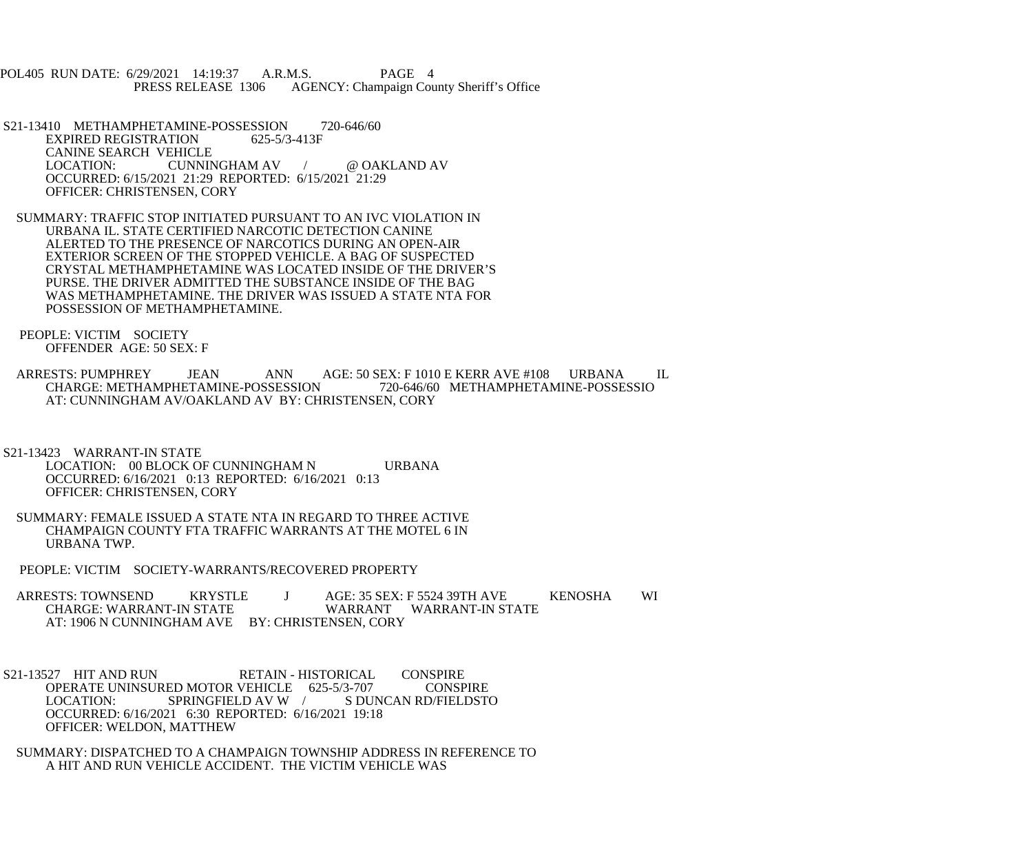POL405 RUN DATE: 6/29/2021 14:19:37 A.R.M.S. PAGE 4<br>PRESS RELEASE 1306 AGENCY: Champaign Cou AGENCY: Champaign County Sheriff's Office

S21-13410 METHAMPHETAMINE-POSSESSION 720-646/60<br>EXPIRED REGISTRATION 625-5/3-413F EXPIRED REGISTRATION CANINE SEARCH VEHICLE<br>LOCATION: CUNNI CUNNINGHAM AV / @ OAKLAND AV OCCURRED: 6/15/2021 21:29 REPORTED: 6/15/2021 21:29 OFFICER: CHRISTENSEN, CORY

 SUMMARY: TRAFFIC STOP INITIATED PURSUANT TO AN IVC VIOLATION IN URBANA IL. STATE CERTIFIED NARCOTIC DETECTION CANINE ALERTED TO THE PRESENCE OF NARCOTICS DURING AN OPEN-AIR EXTERIOR SCREEN OF THE STOPPED VEHICLE. A BAG OF SUSPECTED CRYSTAL METHAMPHETAMINE WAS LOCATED INSIDE OF THE DRIVER'S PURSE. THE DRIVER ADMITTED THE SUBSTANCE INSIDE OF THE BAG WAS METHAMPHETAMINE. THE DRIVER WAS ISSUED A STATE NTA FOR POSSESSION OF METHAMPHETAMINE.

 PEOPLE: VICTIM SOCIETY OFFENDER AGE: 50 SEX: F

ARRESTS: PUMPHREY JEAN ANN AGE: 50 SEX: F 1010 E KERR AVE #108 URBANA IL CHARGE: METHAMPHETAMINE-POSSESSIO CHARGE: METHAMPHETAMINE-POSSESSION AT: CUNNINGHAM AV/OAKLAND AV BY: CHRISTENSEN, CORY

 S21-13423 WARRANT-IN STATE LOCATION: 00 BLOCK OF CUNNINGHAM N URBANA OCCURRED: 6/16/2021 0:13 REPORTED: 6/16/2021 0:13 OFFICER: CHRISTENSEN, CORY

 SUMMARY: FEMALE ISSUED A STATE NTA IN REGARD TO THREE ACTIVE CHAMPAIGN COUNTY FTA TRAFFIC WARRANTS AT THE MOTEL 6 IN URBANA TWP.

PEOPLE: VICTIM SOCIETY-WARRANTS/RECOVERED PROPERTY

ARRESTS: TOWNSEND KRYSTLE J AGE: 35 SEX: F 5524 39TH AVE KENOSHA WI CHARGE: WARRANT-IN STATE WARRANT WARRANT-IN STATE AT: 1906 N CUNNINGHAM AVE BY: CHRISTENSEN, CORY

S21-13527 HIT AND RUN RETAIN - HISTORICAL CONSPIRE<br>OPERATE UNINSURED MOTOR VEHICLE 625-5/3-707 CONSPIRE OPERATE UNINSURED MOTOR VEHICLE 625-5/3-707<br>LOCATION: SPRINGFIELD AV W / S DUI S DUNCAN RD/FIELDSTO OCCURRED: 6/16/2021 6:30 REPORTED: 6/16/2021 19:18 OFFICER: WELDON, MATTHEW

 SUMMARY: DISPATCHED TO A CHAMPAIGN TOWNSHIP ADDRESS IN REFERENCE TO A HIT AND RUN VEHICLE ACCIDENT. THE VICTIM VEHICLE WAS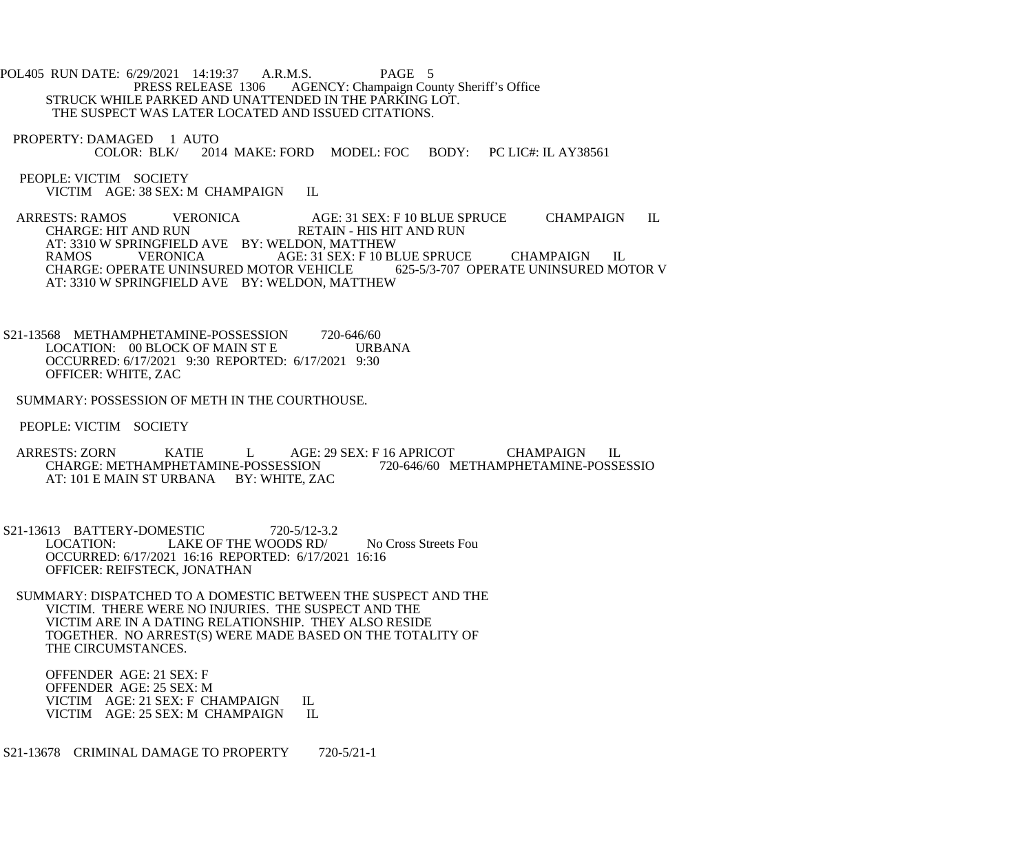POL405 RUN DATE: 6/29/2021 14:19:37 A.R.M.S. PAGE 5<br>PRESS RELEASE 1306 AGENCY: Champaign Cou AGENCY: Champaign County Sheriff's Office STRUCK WHILE PARKED AND UNATTENDED IN THE PARKING LOT. THE SUSPECT WAS LATER LOCATED AND ISSUED CITATIONS.

PROPERTY: DAMAGED 1 AUTO<br>COLOR: BLK/ 201 2014 MAKE: FORD MODEL: FOC BODY: PC LIC#: IL AY38561

 PEOPLE: VICTIM SOCIETY VICTIM AGE: 38 SEX: M CHAMPAIGN IL

ARRESTS: RAMOS VERONICA AGE: 31 SEX: F 10 BLUE SPRUCE CHAMPAIGN IL CHARGE: HIT AND RUN RETAIN - HIS HIT AND RUN AT: 3310 W SPRINGFIELD AVE BY: WELDON, MATTHEW<br>RAMOS VERONICA AGE: 31 SEX: F 10 BI AGE: 31 SEX: F 10 BLUE SPRUCE CHAMPAIGN IL<br>
TOR VEHICLE 625-5/3-707 OPERATE UNINSURED MOTOR V CHARGE: OPERATE UNINSURED MOTOR VEHICLE AT: 3310 W SPRINGFIELD AVE BY: WELDON, MATTHEW

S21-13568 METHAMPHETAMINE-POSSESSION 720-646/60<br>LOCATION: 00 BLOCK OF MAIN ST E URBANA LOCATION: 00 BLOCK OF MAIN ST E OCCURRED: 6/17/2021 9:30 REPORTED: 6/17/2021 9:30 OFFICER: WHITE, ZAC

SUMMARY: POSSESSION OF METH IN THE COURTHOUSE.

PEOPLE: VICTIM SOCIETY

ARRESTS: ZORN KATIE L AGE: 29 SEX: F 16 APRICOT CHAMPAIGN IL CHARGE: METHAMPHETAMINE-POSSESSION 720-646/60 METHAMPHETAMINE-POSSESSIO CHARGE: METHAMPHETAMINE-POSSESSION AT: 101 E MAIN ST URBANA BY: WHITE, ZAC

S21-13613 BATTERY-DOMESTIC 720-5/12-3.2<br>LOCATION: LAKE OF THE WOODS RD/ LAKE OF THE WOODS RD/ No Cross Streets Fou OCCURRED: 6/17/2021 16:16 REPORTED: 6/17/2021 16:16 OFFICER: REIFSTECK, JONATHAN

 SUMMARY: DISPATCHED TO A DOMESTIC BETWEEN THE SUSPECT AND THE VICTIM. THERE WERE NO INJURIES. THE SUSPECT AND THE VICTIM ARE IN A DATING RELATIONSHIP. THEY ALSO RESIDE TOGETHER. NO ARREST(S) WERE MADE BASED ON THE TOTALITY OF THE CIRCUMSTANCES.

 OFFENDER AGE: 21 SEX: F OFFENDER AGE: 25 SEX: M VICTIM AGE: 21 SEX: F CHAMPAIGN IL<br>VICTIM AGE: 25 SEX: M CHAMPAIGN IL VICTIM AGE: 25 SEX: M CHAMPAIGN

S21-13678 CRIMINAL DAMAGE TO PROPERTY 720-5/21-1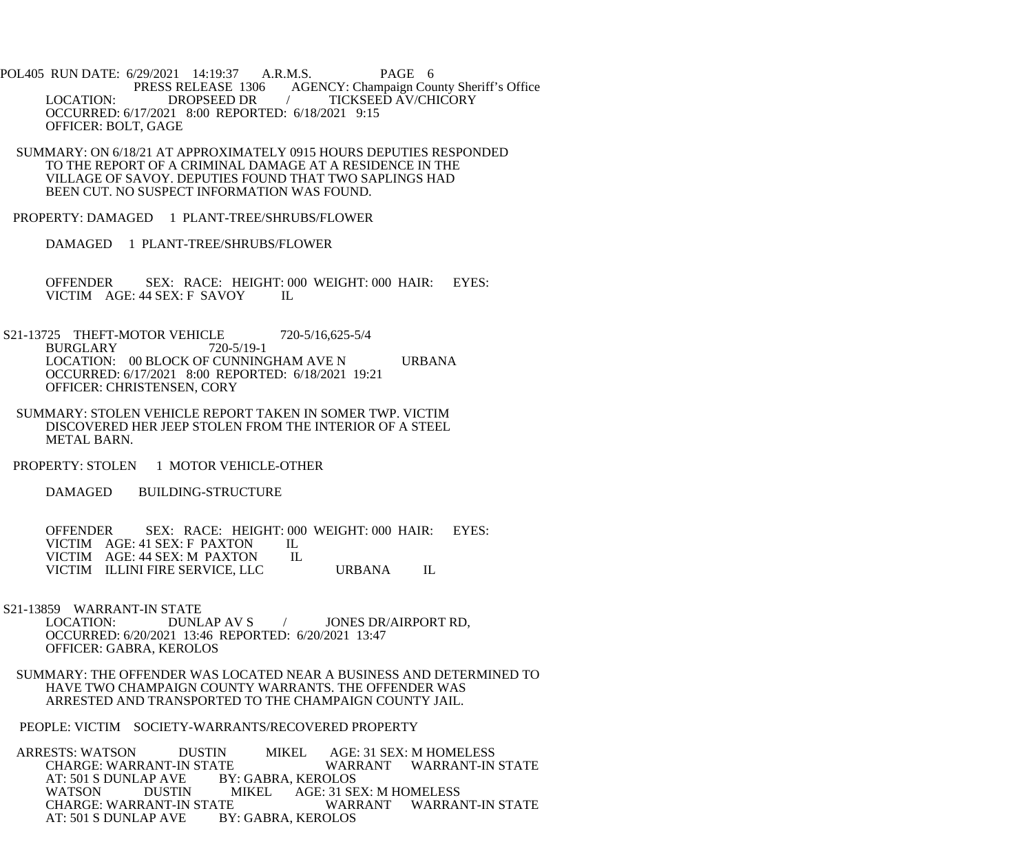POL405 RUN DATE: 6/29/2021 14:19:37 A.R.M.S. PAGE 6<br>PRESS RELEASE 1306 AGENCY: Champaign Cou AGENCY: Champaign County Sheriff's Office LOCATION: DROPSEED DR / TICKSEED AV/CHICORY OCCURRED: 6/17/2021 8:00 REPORTED: 6/18/2021 9:15 OFFICER: BOLT, GAGE

 SUMMARY: ON 6/18/21 AT APPROXIMATELY 0915 HOURS DEPUTIES RESPONDED TO THE REPORT OF A CRIMINAL DAMAGE AT A RESIDENCE IN THE VILLAGE OF SAVOY. DEPUTIES FOUND THAT TWO SAPLINGS HAD BEEN CUT. NO SUSPECT INFORMATION WAS FOUND.

PROPERTY: DAMAGED 1 PLANT-TREE/SHRUBS/FLOWER

DAMAGED 1 PLANT-TREE/SHRUBS/FLOWER

 OFFENDER SEX: RACE: HEIGHT: 000 WEIGHT: 000 HAIR: EYES: VICTIM AGE: 44 SEX: F SAVOY IL

- S21-13725 THEFT-MOTOR VEHICLE 720-5/16,625-5/4<br>BURGLARY 720-5/19-1 **BURGLARY**  LOCATION: 00 BLOCK OF CUNNINGHAM AVE N URBANA OCCURRED: 6/17/2021 8:00 REPORTED: 6/18/2021 19:21 OFFICER: CHRISTENSEN, CORY
	- SUMMARY: STOLEN VEHICLE REPORT TAKEN IN SOMER TWP. VICTIM DISCOVERED HER JEEP STOLEN FROM THE INTERIOR OF A STEEL METAL BARN.
- PROPERTY: STOLEN 1 MOTOR VEHICLE-OTHER

DAMAGED BUILDING-STRUCTURE

OFFENDER SEX: RACE: HEIGHT: 000 WEIGHT: 000 HAIR: EYES: VICTIM AGE: 41 SEX: F PAXTON IL VICTIM AGE: 41 SEX: F PAXTON IL<br>VICTIM AGE: 44 SEX: M PAXTON IL VICTIM AGE: 44 SEX: M PAXTON VICTIM ILLINI FIRE SERVICE, LLC URBANA IL

S21-13859 WARRANT-IN STATE<br>LOCATION: DUNLAP AV S

/ JONES DR/AIRPORT RD, OCCURRED: 6/20/2021 13:46 REPORTED: 6/20/2021 13:47 OFFICER: GABRA, KEROLOS

 SUMMARY: THE OFFENDER WAS LOCATED NEAR A BUSINESS AND DETERMINED TO HAVE TWO CHAMPAIGN COUNTY WARRANTS. THE OFFENDER WAS ARRESTED AND TRANSPORTED TO THE CHAMPAIGN COUNTY JAIL.

PEOPLE: VICTIM SOCIETY-WARRANTS/RECOVERED PROPERTY

ARRESTS: WATSON DUSTIN MIKEL AGE: 31 SEX: M HOMELESS<br>CHARGE: WARRANT-IN STATE WARRANT WARRANT-IN CHARGE: WARRANT-IN STATE WARRANT WARRANT-IN STATE<br>AT: 501 S DUNLAP AVE BY: GABRA. KEROLOS AT: 501 S DUNLAP AVE BY: GABRA, KEROLOS<br>WATSON DUSTIN MIKEL AGE: 31 SE MIKEL AGE: 31 SEX: M HOMELESS<br>E WARRANT WARRANT-IN STATE CHARGE: WARRANT-IN STATE WARRANT<br>AT: 501 S DUNLAP AVE BY: GABRA, KEROLOS AT: 501 S DUNLAP AVE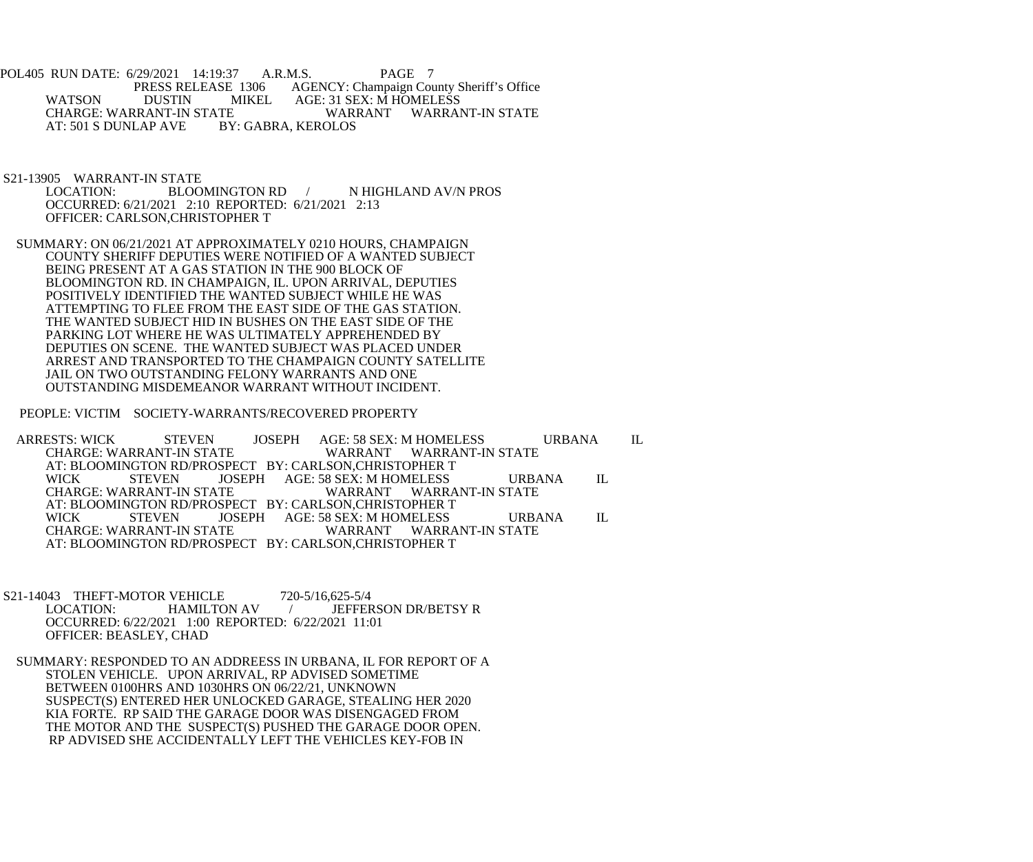POL405 RUN DATE: 6/29/2021 14:19:37 A.R.M.S. PAGE 7<br>PRESS RELEASE 1306 AGENCY: Champaign Cou E 1306 AGENCY: Champaign County Sheriff's Office<br>MIKEL AGE: 31 SEX: M HOMELESS WATSON DUSTIN MIKEL AGE: 31 SEX: M HOMELESS<br>CHARGE: WARRANT-IN STATE WARRANT WARRANT-IN STATE CHARGE: WARRANT-IN STATE WARI<br>AT: 501 S DUNLAP AVE BY: GABRA, KEROLOS AT: 501 S DUNLAP AVE

S21-13905 WARRANT-IN STATE<br>LOCATION: BLOO BLOOMINGTON RD / N HIGHLAND AV/N PROS OCCURRED: 6/21/2021 2:10 REPORTED: 6/21/2021 2:13 OFFICER: CARLSON,CHRISTOPHER T

 SUMMARY: ON 06/21/2021 AT APPROXIMATELY 0210 HOURS, CHAMPAIGN COUNTY SHERIFF DEPUTIES WERE NOTIFIED OF A WANTED SUBJECT BEING PRESENT AT A GAS STATION IN THE 900 BLOCK OF BLOOMINGTON RD. IN CHAMPAIGN, IL. UPON ARRIVAL, DEPUTIES POSITIVELY IDENTIFIED THE WANTED SUBJECT WHILE HE WAS ATTEMPTING TO FLEE FROM THE EAST SIDE OF THE GAS STATION. THE WANTED SUBJECT HID IN BUSHES ON THE EAST SIDE OF THE PARKING LOT WHERE HE WAS ULTIMATELY APPREHENDED BY DEPUTIES ON SCENE. THE WANTED SUBJECT WAS PLACED UNDER ARREST AND TRANSPORTED TO THE CHAMPAIGN COUNTY SATELLITE JAIL ON TWO OUTSTANDING FELONY WARRANTS AND ONE OUTSTANDING MISDEMEANOR WARRANT WITHOUT INCIDENT.

PEOPLE: VICTIM SOCIETY-WARRANTS/RECOVERED PROPERTY

ARRESTS: WICK STEVEN JOSEPH AGE: 58 SEX: M HOMELESS URBANA IL CHARGE: WARRANT WARRANT WARRANT-IN STATE CHARGE: WARRANT-IN STATE WARRANT WARRANT-IN STATE AT: BLOOMINGTON RD/PROSPECT BY: CARLSON,CHRISTOPHER T<br>WICK STEVEN JOSEPH AGE: 58 SEX: M HOMELESS JOSEPH AGE: 58 SEX: M HOMELESS URBANA IL<br>TE WARRANT WARRANT-IN STATE CHARGE: WARRANT-IN STATE AT: BLOOMINGTON RD/PROSPECT BY: CARLSON,CHRISTOPHER T WICK STEVEN JOSEPH AGE: 58 SEX: M HOMELESS URBANA IL CHARGE: WARRANT-IN STATE WARRANT WARRANT-IN STATE AT: BLOOMINGTON RD/PROSPECT BY: CARLSON,CHRISTOPHER T

S21-14043 THEFT-MOTOR VEHICLE 720-5/16,625-5/4<br>LOCATION: HAMILTON AV / JEFFER / JEFFERSON DR/BETSY R OCCURRED: 6/22/2021 1:00 REPORTED: 6/22/2021 11:01 OFFICER: BEASLEY, CHAD

 SUMMARY: RESPONDED TO AN ADDREESS IN URBANA, IL FOR REPORT OF A STOLEN VEHICLE. UPON ARRIVAL, RP ADVISED SOMETIME BETWEEN 0100HRS AND 1030HRS ON 06/22/21, UNKNOWN SUSPECT(S) ENTERED HER UNLOCKED GARAGE, STEALING HER 2020 KIA FORTE. RP SAID THE GARAGE DOOR WAS DISENGAGED FROM THE MOTOR AND THE SUSPECT(S) PUSHED THE GARAGE DOOR OPEN. RP ADVISED SHE ACCIDENTALLY LEFT THE VEHICLES KEY-FOB IN